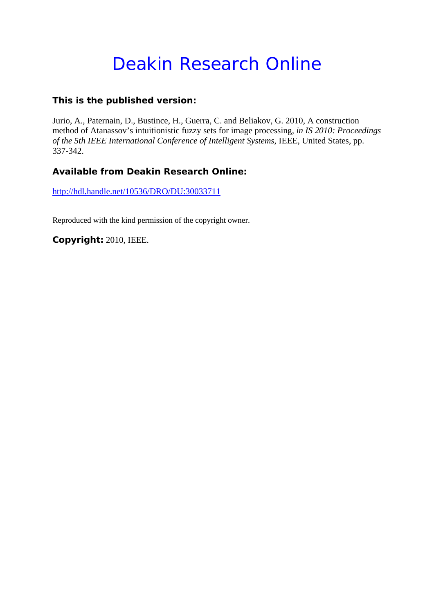# Deakin Research Online

# **This is the published version:**

Jurio, A., Paternain, D., Bustince, H., Guerra, C. and Beliakov, G. 2010, A construction method of Atanassov's intuitionistic fuzzy sets for image processing*, in IS 2010: Proceedings of the 5th IEEE International Conference of Intelligent Systems*, IEEE, United States, pp. 337-342.

# **Available from Deakin Research Online:**

http://hdl.handle.net/10536/DRO/DU:30033711

Reproduced with the kind permission of the copyright owner.

**Copyright:** 2010, IEEE.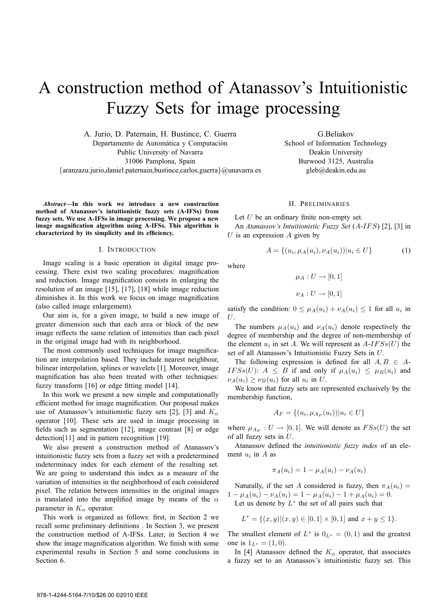# A construction method of Atanassov's Intuitionistic Fuzzy Sets for image processing

A. Jurio, D. Paternain, H. Bustince, C. Guerra Departamento de Automática y Computación Public University of Navarra 31006 Pamplona, Spain {aranzazu.jurio,daniel.paternain,bustince,carlos.guerra}@unavarra.es

*Abstract***—In this work we introduce a new construction method of Atanassov's intuitionistic fuzzy sets (A-IFSs) from fuzzy sets. We use A-IFSs in image processing. We propose a new image magnification algorithm using A-IFSs. This algorithm is characterized by its simplicity and its efficiency.**

### I. INTRODUCTION

Image scaling is a basic operation in digital image processing. There exist two scaling procedures: magnification and reduction. Image magnification consists in enlarging the resolution of an image [15], [17], [18] while image reduction diminishes it. In this work we focus on image magnification (also called image enlargement).

Our aim is, for a given image, to build a new image of greater dimension such that each area or block of the new image reflects the same relation of intensities than each pixel in the original image had with its neighborhood.

The most commonly used techniques for image magnification are interpolation based. They include nearest neighbour, bilinear interpolation, splines or wavelets [1]. Moreover, image magnification has also been treated with other techniques: fuzzy transform [16] or edge fitting model [14].

In this work we present a new simple and computationally efficient method for image magnification. Our proposal makes use of Atanassov's intuitionistic fuzzy sets [2], [3] and  $K_{\alpha}$ operator [10]. These sets are used in image processing in fields such as segmentation [12], image contrast [8] or edge detection[11] and in pattern recognition [19].

We also present a construction method of Atanassov's intuitionistic fuzzy sets from a fuzzy set with a predetermined indeterminacy index for each element of the resulting set. We are going to understand this index as a measure of the variation of intensities in the neighborhood of each considered pixel. The relation between intensities in the original images is translated into the amplified image by means of the  $\alpha$ parameter in  $K_{\alpha}$  operator.

This work is organized as follows: first, in Section 2 we recall some preliminary definitions . In Section 3, we present the construction method of A-IFSs. Later, in Section 4 we show the image magnification algorithm. We finish with some experimental results in Section 5 and some conclusions in Section 6.

G.Beliakov School of Information Technology Deakin University Burwood 3125, Australia gleb@deakin.edu.au

## II. PRELIMINARIES

Let  $U$  be an ordinary finite non-empty set. An *Atanassov's Intuitionistic Fuzzy Set* (A-IFS) [2], [3] in  $U$  is an expression  $A$  given by

$$
A = \{(u_i, \mu_A(u_i), \nu_A(u_i)) | u_i \in U\}
$$
 (1)

where

 $\mu_A: U \rightarrow [0,1]$ 

 $\nu_A:U\to[0,1]$ 

satisfy the condition:  $0 \leq \mu_A(u_i) + \nu_A(u_i) \leq 1$  for all  $u_i$  in  $U$ .

The numbers  $\mu_A(u_i)$  and  $\nu_A(u_i)$  denote respectively the degree of membership and the degree of non-membership of the element  $u_i$  in set A. We will represent as  $A$ - $IFS(U)$  the set of all Atanassov's Intuitionistic Fuzzy Sets in U.

The following expression is defined for all  $A, B \in A$ -IFSs(U):  $A \leq B$  if and only if  $\mu_A(u_i) \leq \mu_B(u_i)$  and  $\nu_A(u_i) \geq \nu_B(u_i)$  for all  $u_i$  in U.

We know that fuzzy sets are represented exclusively by the membership function,

$$
A_F = \{(u_i, \mu_{A_F}(u_i)) | u_i \in U\}
$$

where  $\mu_{A_F}: U \to [0,1]$ . We will denote as  $F S s(U)$  the set of all fuzzy sets in U.

Atanassov defined the *intuitionistic fuzzy index* of an element  $u_i$  in A as

$$
\pi_A(u_i) = 1 - \mu_A(u_i) - \nu_A(u_i)
$$

Naturally, if the set A considered is fuzzy, then  $\pi_A(u_i)$  =  $1 - \mu_A(u_i) - \nu_A(u_i) = 1 - \mu_A(u_i) - 1 + \mu_A(u_i) = 0.$ Let us denote by  $L^*$  the set of all pairs such that

$$
L^* = \{(x, y) | (x, y) \in [0, 1] \times [0, 1] \text{ and } x + y \le 1\}.
$$

The smallest element of  $L^*$  is  $0_{L^*} = (0, 1)$  and the greatest one is  $1_{L^*} = (1, 0)$ .

In [4] Atanassov defined the  $K_{\alpha}$  operator, that associates a fuzzy set to an Atanassov's intuitionistic fuzzy set. This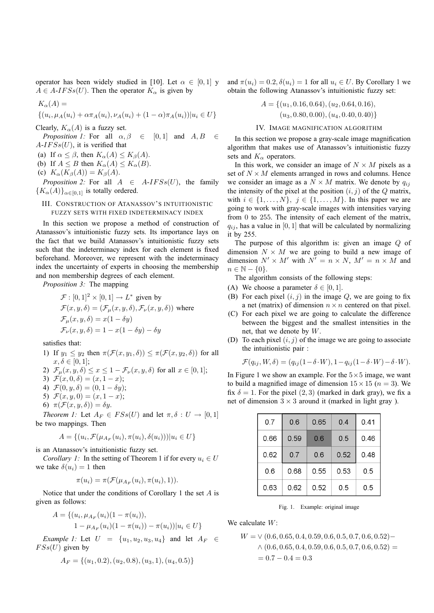operator has been widely studied in [10]. Let  $\alpha \in [0,1]$  y and  $\pi(u_i) = 0.2, \delta(u_i) = 1$  for all  $u_i \in U$ . By Corollary 1 we  $A \in A$ -*IFSs(U)*. Then the operator  $K_{\alpha}$  is given by

$$
K_{\alpha}(A) =
$$
  
{ $(u_i, \mu_A(u_i) + \alpha \pi_A(u_i), \nu_A(u_i) + (1 - \alpha)\pi_A(u_i)) | u_i \in U$ }

Clearly,  $K_{\alpha}(A)$  is a fuzzy set.

*Proposition 1:* For all  $\alpha, \beta \in [0, 1]$  and  $A, B \in$  $A-IF S<sub>s</sub>(U)$ , it is verified that

- (a) If  $\alpha \leq \beta$ , then  $K_{\alpha}(A) \leq K_{\beta}(A)$ .
- (b) If  $A \leq B$  then  $K_{\alpha}(A) \leq K_{\alpha}(B)$ .
- (c)  $K_{\alpha}(K_{\beta}(A)) = K_{\beta}(A)$ .

*Proposition 2:* For all  $A \in A-IFSS(U)$ , the family  ${K_{\alpha}(A)}_{\alpha\in[0,1]}$  is totally ordered.

# III. CONSTRUCTION OF ATANASSOV'S INTUITIONISTIC FUZZY SETS WITH FIXED INDETERMINACY INDEX

In this section we propose a method of construction of Atanassov's intuitionistic fuzzy sets. Its importance lays on the fact that we build Atanassov's intuitionistic fuzzy sets such that the indeterminacy index for each element is fixed beforehand. Moreover, we represent with the indeterminacy index the uncertainty of experts in choosing the membership and non membership degrees of each element.

*Proposition 3:* The mapping

$$
\mathcal{F} : [0,1]^2 \times [0,1] \to L^*
$$
 given by  
\n
$$
\mathcal{F}(x, y, \delta) = (\mathcal{F}_{\mu}(x, y, \delta), \mathcal{F}_{\nu}(x, y, \delta))
$$
 where  
\n
$$
\mathcal{F}_{\mu}(x, y, \delta) = x(1 - \delta y)
$$
  
\n
$$
\mathcal{F}_{\nu}(x, y, \delta) = 1 - x(1 - \delta y) - \delta y
$$

satisfies that:

- 1) If  $y_1 \leq y_2$  then  $\pi(\mathcal{F}(x, y_1, \delta)) \leq \pi(\mathcal{F}(x, y_2, \delta))$  for all  $x, \delta \in [0, 1];$
- 2)  $\mathcal{F}_{\mu}(x, y, \delta) \leq x \leq 1 \mathcal{F}_{\nu}(x, y, \delta)$  for all  $x \in [0, 1]$ ;
- 3)  $\mathcal{F}(x, 0, \delta) = (x, 1 x);$
- 4)  $\mathcal{F}(0, y, \delta) = (0, 1 \delta y);$
- 5)  $\mathcal{F}(x, y, 0) = (x, 1 x);$
- 6)  $\pi(\mathcal{F}(x, y, \delta)) = \delta y$ .

*Theorem 1:* Let  $A_F \in FSS(U)$  and let  $\pi, \delta : U \to [0, 1]$ be two mappings. Then

$$
A = \{ (u_i, \mathcal{F}(\mu_{A_F}(u_i), \pi(u_i), \delta(u_i))) | u_i \in U \}
$$

is an Atanassov's intuitionistic fuzzy set.

*Corollary 1:* In the setting of Theorem 1 if for every  $u_i \in U$ we take  $\delta(u_i) = 1$  then

$$
\pi(u_i) = \pi(\mathcal{F}(\mu_{A_F}(u_i), \pi(u_i), 1)).
$$

Notice that under the conditions of Corollary 1 the set  $A$  is given as follows:

$$
A = \{ (u_i, \mu_{A_F}(u_i)(1 - \pi(u_i))),
$$
  

$$
1 - \mu_{A_F}(u_i)(1 - \pi(u_i)) - \pi(u_i)) | u_i \in U \}
$$

*Example* 1: Let  $U = \{u_1, u_2, u_3, u_4\}$  and let  $A_F \in$  $F S s(U)$  given by

$$
A_F = \{(u_1, 0.2), (u_2, 0.8), (u_3, 1), (u_4, 0.5)\}
$$

obtain the following Atanassov's intuitionistic fuzzy set:

$$
A = \{ (u_1, 0.16, 0.64), (u_2, 0.64, 0.16), (u_3, 0.80, 0.00), (u_4, 0.40, 0.40) \}
$$

#### IV. IMAGE MAGNIFICATION ALGORITHM

In this section we propose a gray-scale image magnification algorithm that makes use of Atanassov's intuitionistic fuzzy sets and  $K_{\alpha}$  operators.

In this work, we consider an image of  $N \times M$  pixels as a set of  $N \times M$  elements arranged in rows and columns. Hence we consider an image as a  $N \times M$  matrix. We denote by  $q_{ij}$ the intensity of the pixel at the position  $(i, j)$  of the Q matrix, with  $i \in \{1, \ldots, N\}, \, j \in \{1, \ldots, M\}$ . In this paper we are going to work with gray-scale images with intensities varying from 0 to 255. The intensity of each element of the matrix,  $q_{ij}$ , has a value in [0, 1] that will be calculated by normalizing it by 255.

The purpose of this algorithm is: given an image Q of dimension  $N \times M$  we are going to build a new image of dimension  $N' \times M'$  with  $N' = n \times N$ ,  $M' = n \times M$  and  $n \in \mathbb{N} - \{0\}.$ 

The algorithm consists of the following steps:

- (A) We choose a parameter  $\delta \in [0, 1]$ .
- (B) For each pixel  $(i, j)$  in the image Q, we are going to fix a net (matrix) of dimension  $n \times n$  centered on that pixel.
- (C) For each pixel we are going to calculate the difference between the biggest and the smallest intensities in the net, that we denote by W.
- (D) To each pixel  $(i, j)$  of the image we are going to associate the intuitionistic pair :

$$
\mathcal{F}(q_{ij}, W, \delta) = (q_{ij}(1 - \delta \cdot W), 1 - q_{ij}(1 - \delta \cdot W) - \delta \cdot W).
$$

In Figure 1 we show an example. For the  $5 \times 5$  image, we want to build a magnified image of dimension  $15 \times 15$  ( $n = 3$ ). We fix  $\delta = 1$ . For the pixel  $(2, 3)$  (marked in dark gray), we fix a net of dimension  $3 \times 3$  around it (marked in light gray).

| 0.7  | 0.6  | 0.65 | 0.4  | 0.41 |
|------|------|------|------|------|
| 0.66 | 0.59 | 0.6  | 0.5  | 0.46 |
| 0.62 | 0.7  | 0.6  | 0.52 | 0.48 |
| 0.6  | 0.68 | 0.55 | 0.53 | 0.5  |
| 0.63 | 0.62 | 0.52 | 0.5  | 0.5  |

Fig. 1. Example: original image

We calculate  $W$ :

$$
W = \vee (0.6, 0.65, 0.4, 0.59, 0.6, 0.5, 0.7, 0.6, 0.52) -
$$
  
 
$$
\wedge (0.6, 0.65, 0.4, 0.59, 0.6, 0.5, 0.7, 0.6, 0.52) =
$$
  
= 0.7 - 0.4 = 0.3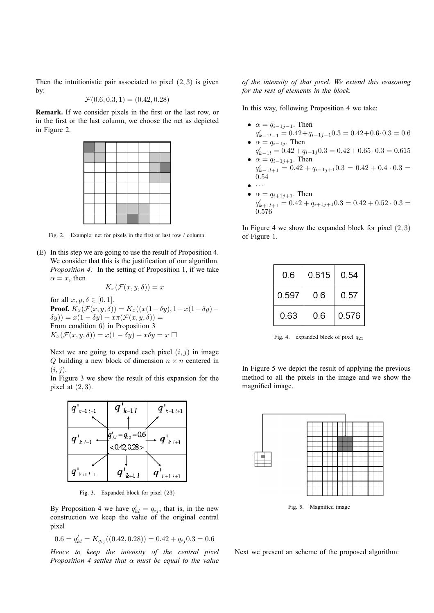Then the intuitionistic pair associated to pixel  $(2, 3)$  is given by:

$$
\mathcal{F}(0.6, 0.3, 1) = (0.42, 0.28)
$$

**Remark.** If we consider pixels in the first or the last row, or in the first or the last column, we choose the net as depicted in Figure 2.



Fig. 2. Example: net for pixels in the first or last row / column.

(E) In this step we are going to use the result of Proposition 4. We consider that this is the justification of our algorithm. *Proposition 4:* In the setting of Proposition 1, if we take  $\alpha = x$ , then

$$
K_x(\mathcal{F}(x,y,\delta)) = x
$$

for all  $x, y, \delta \in [0, 1]$ . **Proof.**  $K_x(\mathcal{F}(x, y, \delta)) = K_x((x(1-\delta y), 1-x(1-\delta y)-\delta y))$  $\delta y) = x(1 - \delta y) + x\pi(\mathcal{F}(x, y, \delta)) =$ From condition 6) in Proposition 3  $K_x(\mathcal{F}(x, y, \delta)) = x(1 - \delta y) + x \delta y = x \ \Box$ 

Next we are going to expand each pixel  $(i, j)$  in image  $Q$  building a new block of dimension  $n \times n$  centered in  $(i, j)$ .

In Figure 3 we show the result of this expansion for the pixel at  $(2, 3)$ .



Fig. 3. Expanded block for pixel (23)

By Proposition 4 we have  $q'_{kl} = q_{ij}$ , that is, in the new construction we keep the value of the original central pixel

$$
0.6 = q'_{kl} = K_{q_{ij}}((0.42, 0.28)) = 0.42 + q_{ij}0.3 = 0.6
$$

*Hence to keep the intensity of the central pixel Proposition 4 settles that* α *must be equal to the value*

*of the intensity of that pixel. We extend this reasoning for the rest of elements in the block.*

In this way, following Proposition 4 we take:

- $\alpha = q_{i-1,i-1}$ . Then  $q'_{k-1} = 0.42 + q_{i-1} = 0.3 = 0.42 + 0.6 \cdot 0.3 = 0.6$ •  $\alpha = q_{i-1j}$ . Then
- $q'_{k-1l} = 0.42 + q_{i-1j}0.3 = 0.42 + 0.65 \cdot 0.3 = 0.615$ •  $\alpha = q_{i-1j+1}$ . Then
- $q'_{k-1l+1} = 0.42 + q_{i-1j+1}0.3 = 0.42 + 0.4 \cdot 0.3 =$ 0.54  $\bullet$   $\cdots$
- $\alpha = q_{i+1j+1}$ . Then  $q'_{k+1} = 0.42 + q_{i+1} + 0.3 = 0.42 + 0.52 \cdot 0.3 =$ 0.576

In Figure 4 we show the expanded block for pixel  $(2, 3)$ of Figure 1.

| 0.6   | 0.615 | 0.54  |  |
|-------|-------|-------|--|
| 0.597 | 0.6   | 0.57  |  |
| 0.63  | 0.6   | 0.576 |  |

Fig. 4. expanded block of pixel  $q_{23}$ 

In Figure 5 we depict the result of applying the previous method to all the pixels in the image and we show the magnified image.



Fig. 5. Magnified image

Next we present an scheme of the proposed algorithm: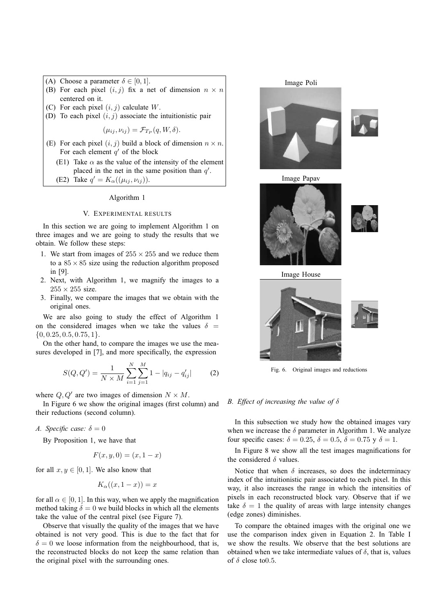- (A) Choose a parameter  $\delta \in [0, 1]$ .
- (B) For each pixel  $(i, j)$  fix a net of dimension  $n \times n$ centered on it.
- (C) For each pixel  $(i, j)$  calculate  $W$ .
- (D) To each pixel  $(i, j)$  associate the intuitionistic pair

 $(\mu_{ij}, \nu_{ij}) = \mathcal{F}_{T_P}(q, W, \delta).$ 

- (E) For each pixel  $(i, j)$  build a block of dimension  $n \times n$ . For each element  $q'$  of the block
	- (E1) Take  $\alpha$  as the value of the intensity of the element placed in the net in the same position than  $q'$ .

(E2) Take  $q' = K_{\alpha}((\mu_{ij}, \nu_{ij}))$ .

#### Algorithm 1

## V. EXPERIMENTAL RESULTS

In this section we are going to implement Algorithm 1 on three images and we are going to study the results that we obtain. We follow these steps:

- 1. We start from images of  $255 \times 255$  and we reduce them to a  $85 \times 85$  size using the reduction algorithm proposed in [9].
- 2. Next, with Algorithm 1, we magnify the images to a  $255 \times 255$  size.
- 3. Finally, we compare the images that we obtain with the original ones.

We are also going to study the effect of Algorithm 1 on the considered images when we take the values  $\delta$  =  $\{0, 0.25, 0.5, 0.75, 1\}.$ 

On the other hand, to compare the images we use the measures developed in [7], and more specifically, the expression

$$
S(Q, Q') = \frac{1}{N \times M} \sum_{i=1}^{N} \sum_{j=1}^{M} 1 - |q_{ij} - q'_{ij}|
$$
 (2)

where  $Q, Q'$  are two images of dimension  $N \times M$ .

In Figure 6 we show the original images (first column) and their reductions (second column).

*A. Specific case:*  $\delta = 0$ 

By Proposition 1, we have that

$$
F(x, y, 0) = (x, 1 - x)
$$

for all  $x, y \in [0, 1]$ . We also know that

$$
K_{\alpha}((x, 1-x)) = x
$$

for all  $\alpha \in [0, 1]$ . In this way, when we apply the magnification method taking  $\delta = 0$  we build blocks in which all the elements take the value of the central pixel (see Figure 7).

Observe that visually the quality of the images that we have obtained is not very good. This is due to the fact that for  $\delta = 0$  we loose information from the neighbourhood, that is, the reconstructed blocks do not keep the same relation than the original pixel with the surrounding ones.

Image Poli











Fig. 6. Original images and reductions

### *B. Effect of increasing the value of* δ

In this subsection we study how the obtained images vary when we increase the  $\delta$  parameter in Algorithm 1. We analyze four specific cases:  $\delta = 0.25$ ,  $\delta = 0.5$ ,  $\delta = 0.75$  y  $\delta = 1$ .

In Figure 8 we show all the test images magnifications for the considered  $\delta$  values.

Notice that when  $\delta$  increases, so does the indeterminacy index of the intuitionistic pair associated to each pixel. In this way, it also increases the range in which the intensities of pixels in each reconstructed block vary. Observe that if we take  $\delta = 1$  the quality of areas with large intensity changes (edge zones) diminishes.

To compare the obtained images with the original one we use the comparison index given in Equation 2. In Table I we show the results. We observe that the best solutions are obtained when we take intermediate values of  $\delta$ , that is, values of  $\delta$  close to 0.5.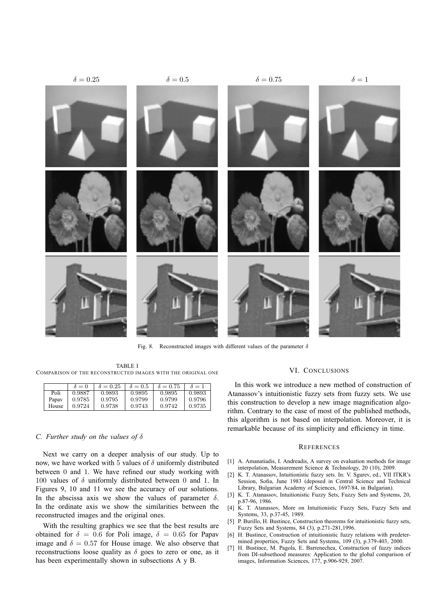

Fig. 8. Reconstructed images with different values of the parameter  $\delta$ 

TABLE I COMPARISON OF THE RECONSTRUCTED IMAGES WITH THE ORIGINAL ONE

|       | $\delta = 0$ | $\delta = 0.25$ | $\delta = 0.5$ | $\delta = 0.75$ | $\delta = 1$ |
|-------|--------------|-----------------|----------------|-----------------|--------------|
| Poli  | 0.9887       | 0.9893          | 0.9895         | 0.9895          | 0.9893       |
| Papav | 0.9785       | 0.9795          | 0.9799         | 0.9799          | 0.9796       |
| House | 0.9724       | 0.9738          | 0.9743         | 0.9742          | 0.9735       |

#### *C. Further study on the values of* δ

Next we carry on a deeper analysis of our study. Up to now, we have worked with 5 values of  $\delta$  uniformly distributed between 0 and 1. We have refined our study working with 100 values of  $\delta$  uniformly distributed between 0 and 1. In Figures 9, 10 and 11 we see the accuracy of our solutions. In the abscissa axis we show the values of parameter  $\delta$ . In the ordinate axis we show the similarities between the reconstructed images and the original ones.

With the resulting graphics we see that the best results are obtained for  $\delta = 0.6$  for Poli image,  $\delta = 0.65$  for Papav image and  $\delta = 0.57$  for House image. We also observe that reconstructions loose quality as  $\delta$  goes to zero or one, as it has been experimentally shown in subsections A y B.

# VI. CONCLUSIONS

In this work we introduce a new method of construction of Atanassov's intuitionistic fuzzy sets from fuzzy sets. We use this construction to develop a new image magnification algorithm. Contrary to the case of most of the published methods, this algorithm is not based on interpolation. Moreover, it is remarkable because of its simplicity and efficiency in time.

#### **REFERENCES**

- [1] A. Amanatiadis, I. Andreadis, A survey on evaluation methods for image interpolation, Measurement Science & Technology, 20 (10), 2009.
- [2] K. T. Atanassov, Intuitionistic fuzzy sets. In: V. Sgurev, ed., VII ITKR's Session, Sofia, June 1983 (deposed in Central Science and Technical Library, Bulgarian Academy of Sciences, 1697/84, in Bulgarian).
- [3] K. T. Atanassov, Intuitionistic Fuzzy Sets, Fuzzy Sets and Systems, 20, p.87-96, 1986.
- [4] K. T. Atanassov, More on Intuitionistic Fuzzy Sets, Fuzzy Sets and Systems, 33, p.37-45, 1989.
- [5] P. Burillo, H. Bustince, Construction theorems for intuitionistic fuzzy sets, Fuzzy Sets and Systems, 84 (3), p.271-281,1996.
- [6] H. Bustince, Construction of intuitionistic fuzzy relations with predetermined properties, Fuzzy Sets and Systems, 109 (3), p.379-403, 2000.
- [7] H. Bustince, M. Pagola, E. Barrenechea, Construction of fuzzy indices from DI-subsethood measures: Application to the global comparison of images, Information Sciences, 177, p.906-929, 2007.